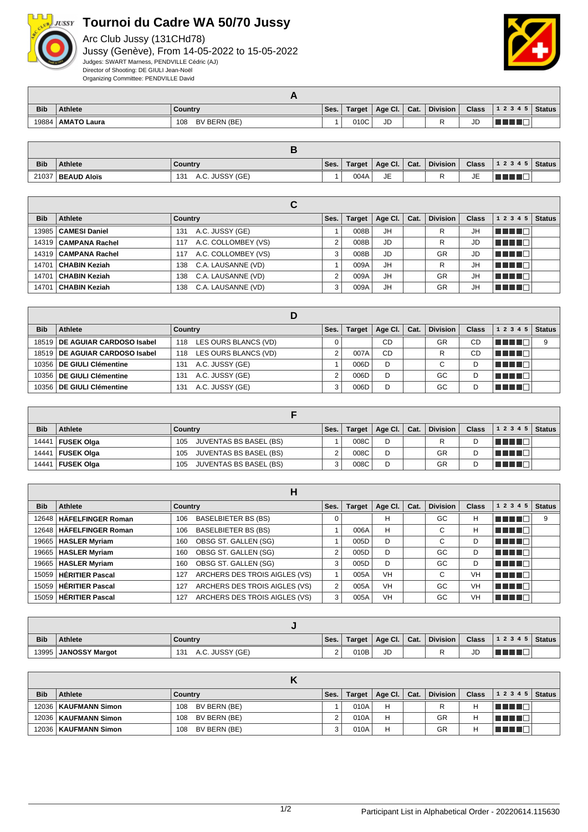

## **Tournoi du Cadre WA 50/70 Jussy**

Arc Club Jussy (131CHd78) Jussy (Genève), From 14-05-2022 to 15-05-2022 Judges: SWART Marness, PENDVILLE Cédric (AJ) Director of Shooting: DE GIULI Jean-Noël Organizing Committee: PENDVILLE David



| <b>Bib</b> | <b>Athlete</b>     | Country             | Ses. | Target | Age Cl.   Cat. | <b>Division</b> | <b>Class</b> | 1 2 3 4 5<br><b>Status</b> |
|------------|--------------------|---------------------|------|--------|----------------|-----------------|--------------|----------------------------|
| 19884      | <b>AMATO Laura</b> | BV BERN (BE)<br>108 |      | 010C   | JD             |                 | JD           |                            |

| <b>Bib</b> | <b>Athlete</b>      | Country                | Ses. | Target | Age Cl.   Cat. | <b>Division</b> | <b>Class</b> | 1 2 3 4 5   Status |  |
|------------|---------------------|------------------------|------|--------|----------------|-----------------|--------------|--------------------|--|
|            | 21037   BEAUD Aloïs | A.C. JUSSY (GE)<br>131 |      | 004A   | JE             |                 | JE           |                    |  |

|            |                        | С                          |      |               |         |      |                 |              |                                |               |
|------------|------------------------|----------------------------|------|---------------|---------|------|-----------------|--------------|--------------------------------|---------------|
| <b>Bib</b> | Athlete                | <b>Country</b>             | Ses. | <b>Target</b> | Age Cl. | Cat. | <b>Division</b> | <b>Class</b> | 1 2 3 4 5                      | <b>Status</b> |
| 13985      | <b>CAMESI Daniel</b>   | A.C. JUSSY (GE)<br>131     |      | 008B          | JH      |      | R               | JH           | <b>RENDE</b>                   |               |
|            | 14319   CAMPANA Rachel | A.C. COLLOMBEY (VS)<br>117 |      | 008B          | JD      |      | R               | JD           | T FIFE                         |               |
|            | 14319   CAMPANA Rachel | A.C. COLLOMBEY (VS)<br>117 | 3    | 008B          | JD      |      | GR              | JD           | MA MARI                        |               |
| 14701      | CHABIN Keziah          | C.A. LAUSANNE (VD)<br>138  |      | 009A          | JH      |      | R               | JH           | a kacamatan ing Kabupatén Kabu |               |
| 14701      | CHABIN Keziah          | C.A. LAUSANNE (VD)<br>138  | 2    | 009A          | JH      |      | GR              | JH           | N N N D                        |               |
| 14701      | CHABIN Keziah          | C.A. LAUSANNE (VD)<br>138  | 3    | 009A          | JH      |      | GR              | JH           | TE E E                         |               |

| <b>Bib</b> | Athlete                        | Country                     | Ses. | <b>Target</b> | Age Cl. $ $ | Cat. | <b>Division</b> | <b>Class</b> | 1 2 3 4 5 | <b>Status</b> |
|------------|--------------------------------|-----------------------------|------|---------------|-------------|------|-----------------|--------------|-----------|---------------|
|            | 18519 DE AGUIAR CARDOSO Isabel | LES OURS BLANCS (VD)<br>118 |      |               | CD          |      | GR              | CD           |           | 9             |
|            | 18519 DE AGUIAR CARDOSO Isabel | LES OURS BLANCS (VD)<br>118 |      | 007A          | CD          |      | R               | СD           | TE ELE    |               |
|            | 10356 DE GIULI Clémentine      | A.C. JUSSY (GE)<br>131      |      | 006D          | D           |      | C.              | D            | TE E F    |               |
|            | 10356 DE GIULI Clémentine      | A.C. JUSSY (GE)<br>131      |      | 006D          | D           |      | GC              | D            | TE ELE    |               |
|            | 10356   DE GIULI Clémentine    | A.C. JUSSY (GE)<br>131      |      | 006D          | D           |      | GC              | D            |           |               |

| <b>Bib</b> | <b>Athlete</b>    | Country                              | Ses. | Target | Age Cl. $\vert$ Cat. | <b>Division</b> | <b>Class</b> | $12345$ Status |  |
|------------|-------------------|--------------------------------------|------|--------|----------------------|-----------------|--------------|----------------|--|
| 14441      | <b>FUSEK Olga</b> | JUVENTAS BS BASEL (BS)<br>105        |      | 008C   | D                    | R               |              | l Timbin B     |  |
| 14441      | <b>FUSEK Olga</b> | <b>JUVENTAS BS BASEL (BS)</b><br>105 |      | 008C   | D                    | GR              |              | T FIFTE T      |  |
| 14441      | ∣ FUSEK Olga      | <b>JUVENTAS BS BASEL (BS)</b><br>105 |      | 008C   | D                    | GR              |              | TI TITL        |  |

|            |                           | н                                    |                |               |                 |      |                 |              |                 |               |
|------------|---------------------------|--------------------------------------|----------------|---------------|-----------------|------|-----------------|--------------|-----------------|---------------|
| <b>Bib</b> | Athlete                   | Country                              | Ses.           | <b>Target</b> | Age Cl. $\vert$ | Cat. | <b>Division</b> | <b>Class</b> | 1 2 3 4 5       | <b>Status</b> |
|            | 12648   HÄFELFINGER Roman | <b>BASELBIETER BS (BS)</b><br>106    | 0              |               | н               |      | GC              | н            | <u> El Film</u> | 9             |
|            | 12648   HÄFELFINGER Roman | <b>BASELBIETER BS (BS)</b><br>106    |                | 006A          | H               |      | C               | н            | n na m          |               |
|            | 19665   HASLER Myriam     | OBSG ST. GALLEN (SG)<br>160          |                | 005D          | D               |      | C               | D            | <b>FELITE</b>   |               |
|            | 19665   HASLER Myriam     | OBSG ST. GALLEN (SG)<br>160          | $\overline{2}$ | 005D          | D               |      | GC              | D            | n nin n         |               |
|            | 19665   HASLER Myriam     | OBSG ST. GALLEN (SG)<br>160          | 3              | 005D          | D               |      | GC              | D            | l Timbi di B    |               |
| 15059      | <b>HÉRITIER Pascal</b>    | ARCHERS DES TROIS AIGLES (VS)<br>127 |                | 005A          | <b>VH</b>       |      | C               | VH           | n din bin       |               |
| 15059      | <b>HÉRITIER Pascal</b>    | ARCHERS DES TROIS AIGLES (VS)<br>127 | 2              | 005A          | <b>VH</b>       |      | GC              | VH           | n nin n         |               |
|            | 15059 HÉRITIER Pascal     | ARCHERS DES TROIS AIGLES (VS)<br>127 | 3              | 005A          | VH              |      | GC              | <b>VH</b>    | n nin n         |               |

| <b>Bib</b> | <b>Athlete</b>         | Country                | Ses.        | Target | Age Cl. | $ $ Cat. | Division | <b>Class</b> | 12345 | Status |
|------------|------------------------|------------------------|-------------|--------|---------|----------|----------|--------------|-------|--------|
|            | 13995   JANOSSY Margot | A.C. JUSSY (GE)<br>131 | $\sim$<br>∸ | 010B   | JD      |          |          | JD           |       |        |

| <b>Bib</b> | <b>Athlete</b>         | Country             | Ses. | Target | Age Cl. $\vert$ Cat. | <b>Division</b> | <b>Class</b> | 1 2 3 4 5  | Status |
|------------|------------------------|---------------------|------|--------|----------------------|-----------------|--------------|------------|--------|
|            | 12036   KAUFMANN Simon | BV BERN (BE)<br>108 |      | 010A   | н                    |                 | Н            | T FI FI FI |        |
|            | 12036   KAUFMANN Simon | BV BERN (BE)<br>108 |      | 010A   | н                    | GR              | Н            | THE LE     |        |
|            | 12036   KAUFMANN Simon | BV BERN (BE)<br>108 |      | 010A   | н                    | GR              | Н            |            |        |